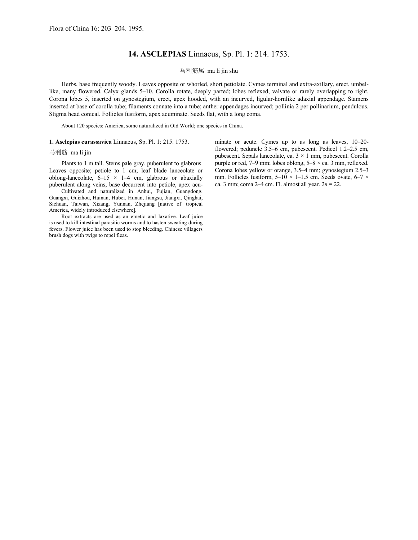## **14. ASCLEPIAS** Linnaeus, Sp. Pl. 1: 214. 1753.

## 马利筋属 ma li jin shu

Herbs, base frequently woody. Leaves opposite or whorled, short petiolate. Cymes terminal and extra-axillary, erect, umbellike, many flowered. Calyx glands 5–10. Corolla rotate, deeply parted; lobes reflexed, valvate or rarely overlapping to right. Corona lobes 5, inserted on gynostegium, erect, apex hooded, with an incurved, ligular-hornlike adaxial appendage. Stamens inserted at base of corolla tube; filaments connate into a tube; anther appendages incurved; pollinia 2 per pollinarium, pendulous. Stigma head conical. Follicles fusiform, apex acuminate. Seeds flat, with a long coma.

About 120 species: America, some naturalized in Old World; one species in China.

## **1. Asclepias curassavica** Linnaeus, Sp. Pl. 1: 215. 1753.

## 马利筋 ma li jin

Plants to 1 m tall. Stems pale gray, puberulent to glabrous. Leaves opposite; petiole to 1 cm; leaf blade lanceolate or oblong-lanceolate,  $6-15 \times 1-4$  cm, glabrous or abaxially puberulent along veins, base decurrent into petiole, apex acu-

Cultivated and naturalized in Anhui, Fujian, Guangdong, Guangxi, Guizhou, Hainan, Hubei, Hunan, Jiangsu, Jiangxi, Qinghai, Sichuan, Taiwan, Xizang, Yunnan, Zhejiang [native of tropical America, widely introduced elsewhere].

Root extracts are used as an emetic and laxative. Leaf juice is used to kill intestinal parasitic worms and to hasten sweating during fevers. Flower juice has been used to stop bleeding. Chinese villagers brush dogs with twigs to repel fleas.

minate or acute. Cymes up to as long as leaves, 10–20 flowered; peduncle 3.5–6 cm, pubescent. Pedicel 1.2–2.5 cm, pubescent. Sepals lanceolate, ca. 3 × 1 mm, pubescent. Corolla purple or red,  $7-9$  mm; lobes oblong,  $5-8 \times ca$ . 3 mm, reflexed. Corona lobes yellow or orange, 3.5–4 mm; gynostegium 2.5–3 mm. Follicles fusiform,  $5-10 \times 1-1.5$  cm. Seeds ovate,  $6-7 \times$ ca. 3 mm; coma 2–4 cm. Fl. almost all year. 2*n* = 22.